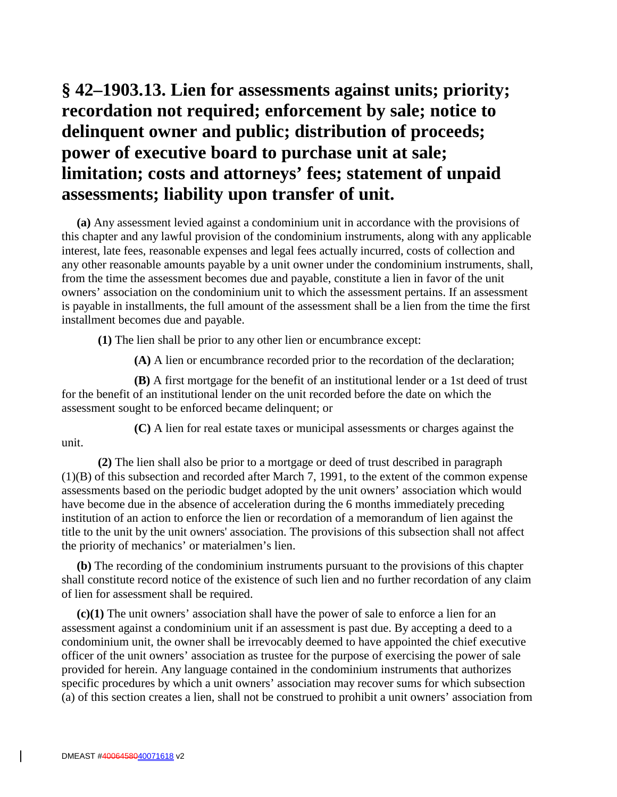# **§ 42–1903.13. Lien for assessments against units; priority; recordation not required; enforcement by sale; notice to delinquent owner and public; distribution of proceeds; power of executive board to purchase unit at sale; limitation; costs and attorneys' fees; statement of unpaid assessments; liability upon transfer of unit.**

**(a)** Any assessment levied against a condominium unit in accordance with the provisions of this chapter and any lawful provision of the condominium instruments, along with any applicable interest, late fees, reasonable expenses and legal fees actually incurred, costs of collection and any other reasonable amounts payable by a unit owner under the condominium instruments, shall, from the time the assessment becomes due and payable, constitute a lien in favor of the unit owners' association on the condominium unit to which the assessment pertains. If an assessment is payable in installments, the full amount of the assessment shall be a lien from the time the first installment becomes due and payable.

**(1)** The lien shall be prior to any other lien or encumbrance except:

**(A)** A lien or encumbrance recorded prior to the recordation of the declaration;

**(B)** A first mortgage for the benefit of an institutional lender or a 1st deed of trust for the benefit of an institutional lender on the unit recorded before the date on which the assessment sought to be enforced became delinquent; or

**(C)** A lien for real estate taxes or municipal assessments or charges against the

unit.

**(2)** The lien shall also be prior to a mortgage or deed of trust described in paragraph (1)(B) of this subsection and recorded after March 7, 1991, to the extent of the common expense assessments based on the periodic budget adopted by the unit owners' association which would have become due in the absence of acceleration during the 6 months immediately preceding institution of an action to enforce the lien or recordation of a memorandum of lien against the title to the unit by the unit owners' association. The provisions of this subsection shall not affect the priority of mechanics' or materialmen's lien.

**(b)** The recording of the condominium instruments pursuant to the provisions of this chapter shall constitute record notice of the existence of such lien and no further recordation of any claim of lien for assessment shall be required.

**(c)(1)** The unit owners' association shall have the power of sale to enforce a lien for an assessment against a condominium unit if an assessment is past due. By accepting a deed to a condominium unit, the owner shall be irrevocably deemed to have appointed the chief executive officer of the unit owners' association as trustee for the purpose of exercising the power of sale provided for herein. Any language contained in the condominium instruments that authorizes specific procedures by which a unit owners' association may recover sums for which subsection (a) of this section creates a lien, shall not be construed to prohibit a unit owners' association from

 $\mathsf{l}$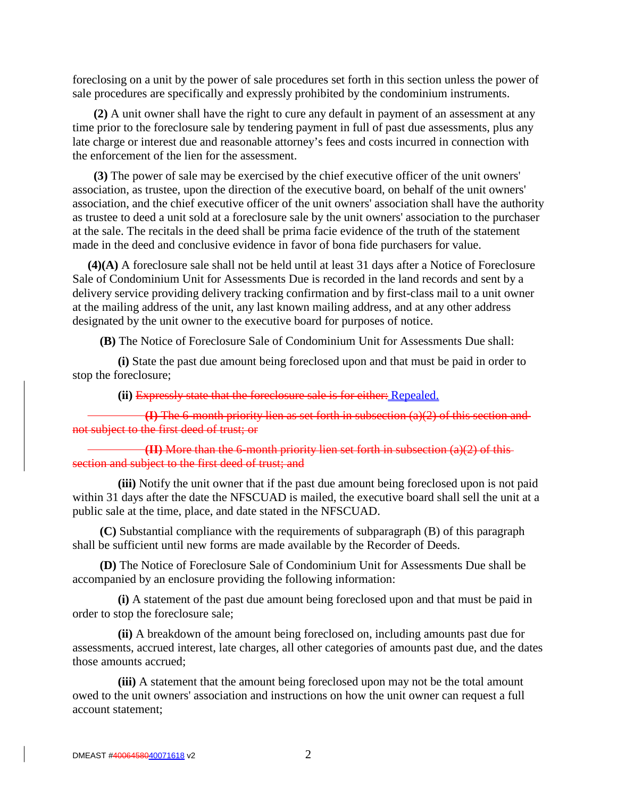foreclosing on a unit by the power of sale procedures set forth in this section unless the power of sale procedures are specifically and expressly prohibited by the condominium instruments.

 **(2)** A unit owner shall have the right to cure any default in payment of an assessment at any time prior to the foreclosure sale by tendering payment in full of past due assessments, plus any late charge or interest due and reasonable attorney's fees and costs incurred in connection with the enforcement of the lien for the assessment.

 **(3)** The power of sale may be exercised by the chief executive officer of the unit owners' association, as trustee, upon the direction of the executive board, on behalf of the unit owners' association, and the chief executive officer of the unit owners' association shall have the authority as trustee to deed a unit sold at a foreclosure sale by the unit owners' association to the purchaser at the sale. The recitals in the deed shall be prima facie evidence of the truth of the statement made in the deed and conclusive evidence in favor of bona fide purchasers for value.

**(4)(A)** A foreclosure sale shall not be held until at least 31 days after a Notice of Foreclosure Sale of Condominium Unit for Assessments Due is recorded in the land records and sent by a delivery service providing delivery tracking confirmation and by first-class mail to a unit owner at the mailing address of the unit, any last known mailing address, and at any other address designated by the unit owner to the executive board for purposes of notice.

 **(B)** The Notice of Foreclosure Sale of Condominium Unit for Assessments Due shall:

 **(i)** State the past due amount being foreclosed upon and that must be paid in order to stop the foreclosure;

 **(ii)** Expressly state that the foreclosure sale is for either: Repealed.

**(I)** The 6-month priority lien as set forth in subsection (a)(2) of this section and not subject to the first deed of trust; or

**(II)** More than the 6-month priority lien set forth in subsection (a)(2) of this section and subject to the first deed of trust; and

 **(iii)** Notify the unit owner that if the past due amount being foreclosed upon is not paid within 31 days after the date the NFSCUAD is mailed, the executive board shall sell the unit at a public sale at the time, place, and date stated in the NFSCUAD.

 **(C)** Substantial compliance with the requirements of subparagraph (B) of this paragraph shall be sufficient until new forms are made available by the Recorder of Deeds.

 **(D)** The Notice of Foreclosure Sale of Condominium Unit for Assessments Due shall be accompanied by an enclosure providing the following information:

 **(i)** A statement of the past due amount being foreclosed upon and that must be paid in order to stop the foreclosure sale;

 **(ii)** A breakdown of the amount being foreclosed on, including amounts past due for assessments, accrued interest, late charges, all other categories of amounts past due, and the dates those amounts accrued;

 **(iii)** A statement that the amount being foreclosed upon may not be the total amount owed to the unit owners' association and instructions on how the unit owner can request a full account statement;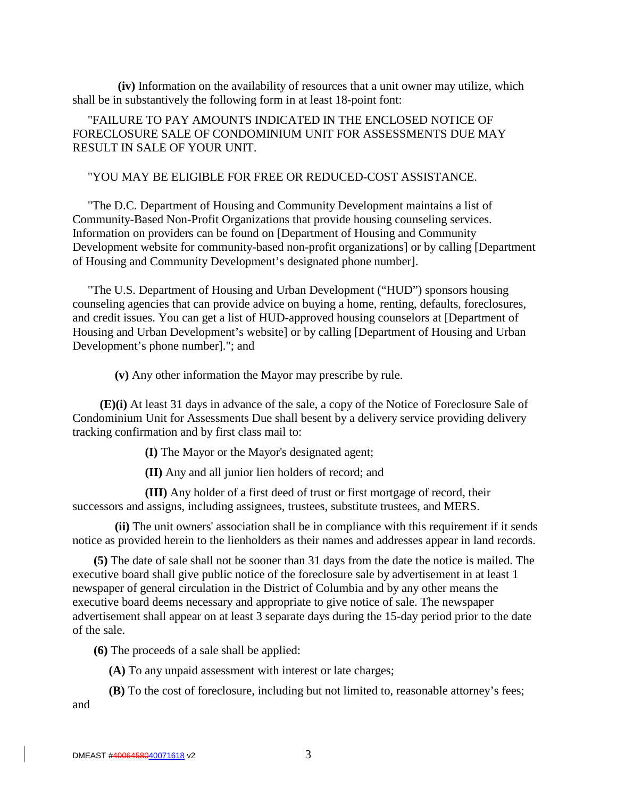**(iv)** Information on the availability of resources that a unit owner may utilize, which shall be in substantively the following form in at least 18-point font:

"FAILURE TO PAY AMOUNTS INDICATED IN THE ENCLOSED NOTICE OF FORECLOSURE SALE OF CONDOMINIUM UNIT FOR ASSESSMENTS DUE MAY RESULT IN SALE OF YOUR UNIT.

### "YOU MAY BE ELIGIBLE FOR FREE OR REDUCED-COST ASSISTANCE.

"The D.C. Department of Housing and Community Development maintains a list of Community-Based Non-Profit Organizations that provide housing counseling services. Information on providers can be found on [Department of Housing and Community Development website for community-based non-profit organizations] or by calling [Department of Housing and Community Development's designated phone number].

"The U.S. Department of Housing and Urban Development ("HUD") sponsors housing counseling agencies that can provide advice on buying a home, renting, defaults, foreclosures, and credit issues. You can get a list of HUD-approved housing counselors at [Department of Housing and Urban Development's website] or by calling [Department of Housing and Urban Development's phone number]."; and

**(v)** Any other information the Mayor may prescribe by rule.

 **(E)(i)** At least 31 days in advance of the sale, a copy of the Notice of Foreclosure Sale of Condominium Unit for Assessments Due shall besent by a delivery service providing delivery tracking confirmation and by first class mail to:

**(I)** The Mayor or the Mayor's designated agent;

**(II)** Any and all junior lien holders of record; and

**(III)** Any holder of a first deed of trust or first mortgage of record, their successors and assigns, including assignees, trustees, substitute trustees, and MERS.

 **(ii)** The unit owners' association shall be in compliance with this requirement if it sends notice as provided herein to the lienholders as their names and addresses appear in land records.

 **(5)** The date of sale shall not be sooner than 31 days from the date the notice is mailed. The executive board shall give public notice of the foreclosure sale by advertisement in at least 1 newspaper of general circulation in the District of Columbia and by any other means the executive board deems necessary and appropriate to give notice of sale. The newspaper advertisement shall appear on at least 3 separate days during the 15-day period prior to the date of the sale.

 **(6)** The proceeds of a sale shall be applied:

**(A)** To any unpaid assessment with interest or late charges;

**(B)** To the cost of foreclosure, including but not limited to, reasonable attorney's fees; and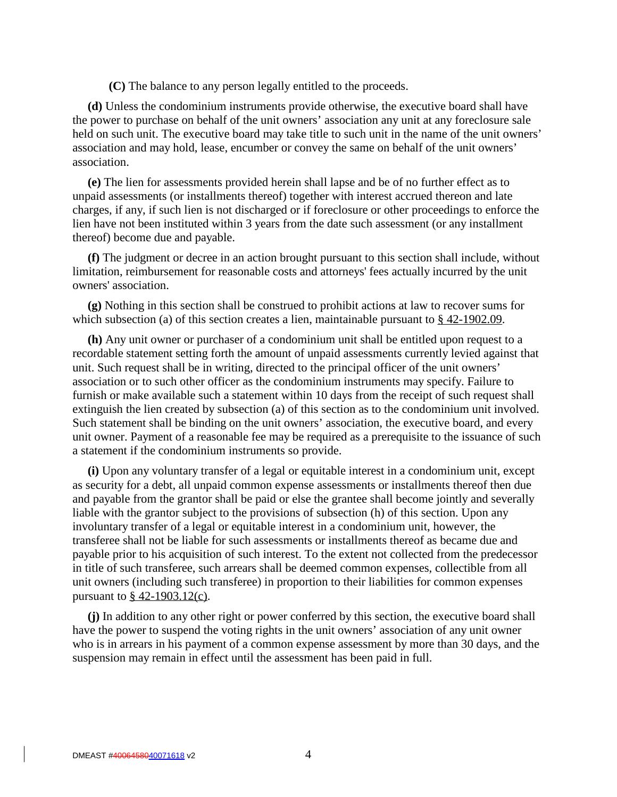**(C)** The balance to any person legally entitled to the proceeds.

**(d)** Unless the condominium instruments provide otherwise, the executive board shall have the power to purchase on behalf of the unit owners' association any unit at any foreclosure sale held on such unit. The executive board may take title to such unit in the name of the unit owners' association and may hold, lease, encumber or convey the same on behalf of the unit owners' association.

**(e)** The lien for assessments provided herein shall lapse and be of no further effect as to unpaid assessments (or installments thereof) together with interest accrued thereon and late charges, if any, if such lien is not discharged or if foreclosure or other proceedings to enforce the lien have not been instituted within 3 years from the date such assessment (or any installment thereof) become due and payable.

**(f)** The judgment or decree in an action brought pursuant to this section shall include, without limitation, reimbursement for reasonable costs and attorneys' fees actually incurred by the unit owners' association.

**(g)** Nothing in this section shall be construed to prohibit actions at law to recover sums for which subsection (a) of this section creates a lien, maintainable pursuant to  $\frac{8}{9}$  42-1902.09.

**(h)** Any unit owner or purchaser of a condominium unit shall be entitled upon request to a recordable statement setting forth the amount of unpaid assessments currently levied against that unit. Such request shall be in writing, directed to the principal officer of the unit owners' association or to such other officer as the condominium instruments may specify. Failure to furnish or make available such a statement within 10 days from the receipt of such request shall extinguish the lien created by subsection (a) of this section as to the condominium unit involved. Such statement shall be binding on the unit owners' association, the executive board, and every unit owner. Payment of a reasonable fee may be required as a prerequisite to the issuance of such a statement if the condominium instruments so provide.

**(i)** Upon any voluntary transfer of a legal or equitable interest in a condominium unit, except as security for a debt, all unpaid common expense assessments or installments thereof then due and payable from the grantor shall be paid or else the grantee shall become jointly and severally liable with the grantor subject to the provisions of subsection (h) of this section. Upon any involuntary transfer of a legal or equitable interest in a condominium unit, however, the transferee shall not be liable for such assessments or installments thereof as became due and payable prior to his acquisition of such interest. To the extent not collected from the predecessor in title of such transferee, such arrears shall be deemed common expenses, collectible from all unit owners (including such transferee) in proportion to their liabilities for common expenses pursuant to § 42-1903.12(c).

**(j)** In addition to any other right or power conferred by this section, the executive board shall have the power to suspend the voting rights in the unit owners' association of any unit owner who is in arrears in his payment of a common expense assessment by more than 30 days, and the suspension may remain in effect until the assessment has been paid in full.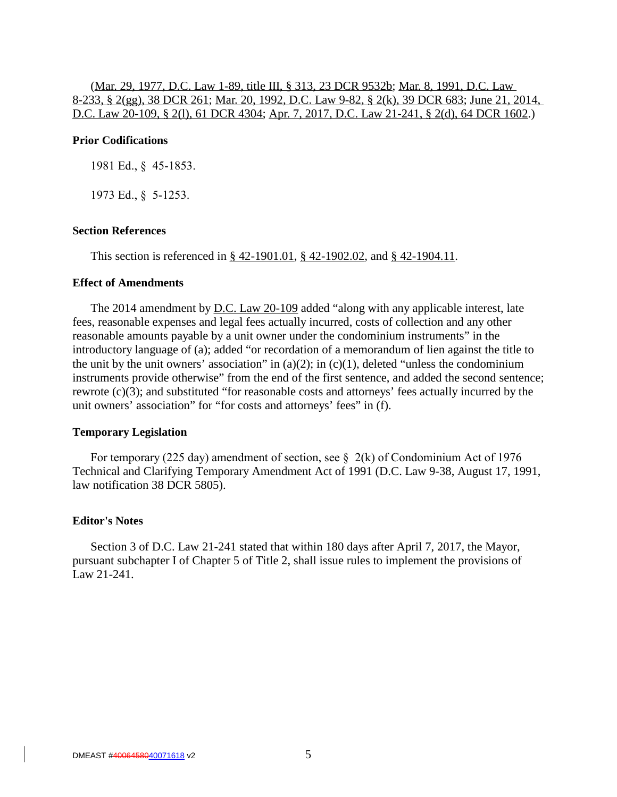# (Mar. 29, 1977, D.C. Law 1-89, title III, § 313, 23 DCR 9532b; Mar. 8, 1991, D.C. Law 8-233, § 2(gg), 38 DCR 261; Mar. 20, 1992, D.C. Law 9-82, § 2(k), 39 DCR 683; June 21, 2014, D.C. Law 20-109, § 2(l), 61 DCR 4304; Apr. 7, 2017, D.C. Law 21-241, § 2(d), 64 DCR 1602.)

## **Prior Codifications**

1981 Ed., § 45-1853.

1973 Ed., § 5-1253.

#### **Section References**

This section is referenced in § 42-1901.01, § 42-1902.02, and § 42-1904.11.

# **Effect of Amendments**

The 2014 amendment by <u>D.C. Law 20-109</u> added "along with any applicable interest, late fees, reasonable expenses and legal fees actually incurred, costs of collection and any other reasonable amounts payable by a unit owner under the condominium instruments" in the introductory language of (a); added "or recordation of a memorandum of lien against the title to the unit by the unit owners' association" in (a)(2); in (c)(1), deleted "unless the condominium instruments provide otherwise" from the end of the first sentence, and added the second sentence; rewrote (c)(3); and substituted "for reasonable costs and attorneys' fees actually incurred by the unit owners' association" for "for costs and attorneys' fees" in (f).

#### **Temporary Legislation**

For temporary (225 day) amendment of section, see  $\S$  2(k) of Condominium Act of 1976 Technical and Clarifying Temporary Amendment Act of 1991 (D.C. Law 9-38, August 17, 1991, law notification 38 DCR 5805).

#### **Editor's Notes**

Section 3 of D.C. Law 21-241 stated that within 180 days after April 7, 2017, the Mayor, pursuant subchapter I of Chapter 5 of Title 2, shall issue rules to implement the provisions of Law 21-241.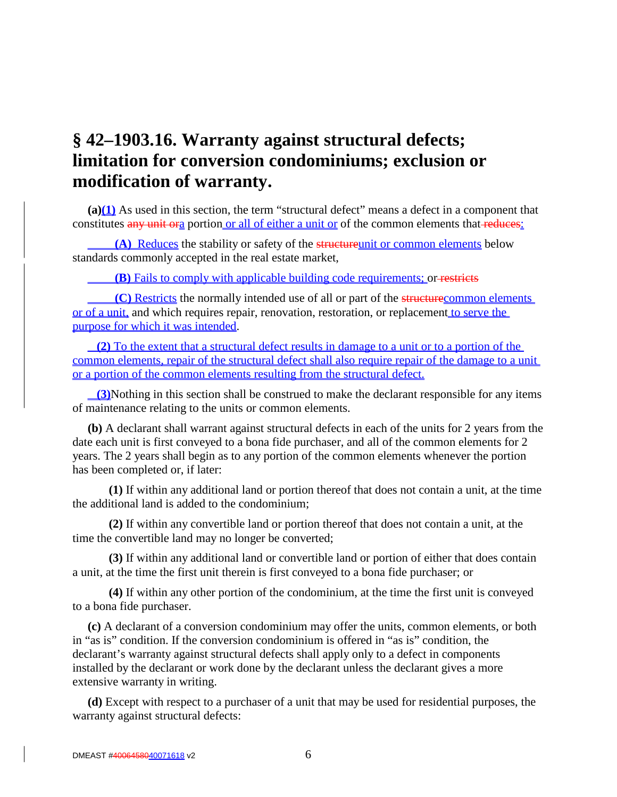# **§ 42–1903.16. Warranty against structural defects; limitation for conversion condominiums; exclusion or modification of warranty.**

**(a)(1)** As used in this section, the term "structural defect" means a defect in a component that constitutes any unit ora portion or all of either a unit or of the common elements that reduces:

**(A)** Reduces the stability or safety of the structureunit or common elements below standards commonly accepted in the real estate market,

**(B)** Fails to comply with applicable building code requirements; or restricts

**(C)** Restricts the normally intended use of all or part of the structurecommon elements or of a unit, and which requires repair, renovation, restoration, or replacement to serve the purpose for which it was intended.

**(2)** To the extent that a structural defect results in damage to a unit or to a portion of the common elements, repair of the structural defect shall also require repair of the damage to a unit or a portion of the common elements resulting from the structural defect.

**(3)**Nothing in this section shall be construed to make the declarant responsible for any items of maintenance relating to the units or common elements.

**(b)** A declarant shall warrant against structural defects in each of the units for 2 years from the date each unit is first conveyed to a bona fide purchaser, and all of the common elements for 2 years. The 2 years shall begin as to any portion of the common elements whenever the portion has been completed or, if later:

**(1)** If within any additional land or portion thereof that does not contain a unit, at the time the additional land is added to the condominium;

**(2)** If within any convertible land or portion thereof that does not contain a unit, at the time the convertible land may no longer be converted;

**(3)** If within any additional land or convertible land or portion of either that does contain a unit, at the time the first unit therein is first conveyed to a bona fide purchaser; or

**(4)** If within any other portion of the condominium, at the time the first unit is conveyed to a bona fide purchaser.

**(c)** A declarant of a conversion condominium may offer the units, common elements, or both in "as is" condition. If the conversion condominium is offered in "as is" condition, the declarant's warranty against structural defects shall apply only to a defect in components installed by the declarant or work done by the declarant unless the declarant gives a more extensive warranty in writing.

**(d)** Except with respect to a purchaser of a unit that may be used for residential purposes, the warranty against structural defects: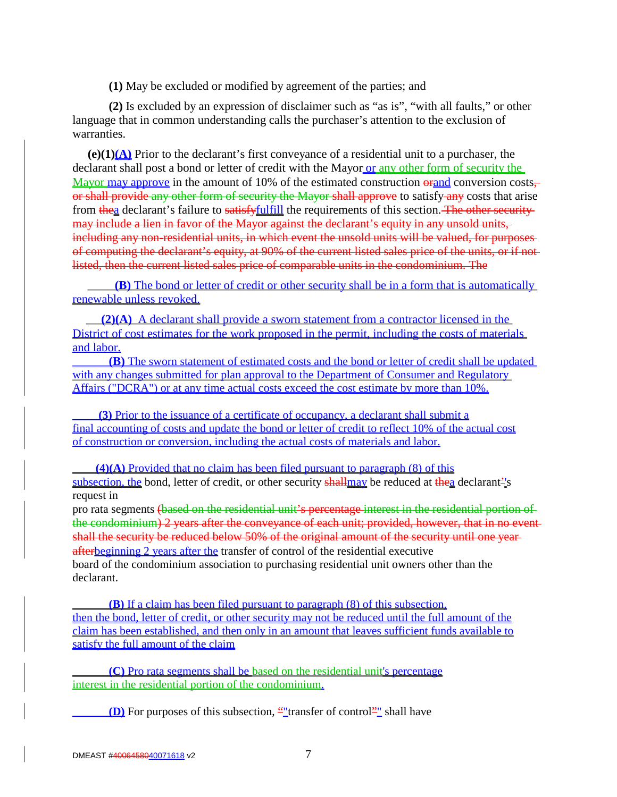**(1)** May be excluded or modified by agreement of the parties; and

**(2)** Is excluded by an expression of disclaimer such as "as is", "with all faults," or other language that in common understanding calls the purchaser's attention to the exclusion of warranties.

**(e)(1)(A)** Prior to the declarant's first conveyance of a residential unit to a purchaser, the declarant shall post a bond or letter of credit with the Mayor or any other form of security the Mayor may approve in the amount of 10% of the estimated construction  $\theta$  and conversion costs, or shall provide any other form of security the Mayor shall approve to satisfy-any costs that arise from thea declarant's failure to satisfy <u>fulfill</u> the requirements of this section. The other security may include a lien in favor of the Mayor against the declarant's equity in any unsold units, including any non-residential units, in which event the unsold units will be valued, for purposes of computing the declarant's equity, at 90% of the current listed sales price of the units, or if not listed, then the current listed sales price of comparable units in the condominium. The

**(B)** The bond or letter of credit or other security shall be in a form that is automatically renewable unless revoked.

**(2)(A)** A declarant shall provide a sworn statement from a contractor licensed in the District of cost estimates for the work proposed in the permit, including the costs of materials and labor.

**(B)** The sworn statement of estimated costs and the bond or letter of credit shall be updated with any changes submitted for plan approval to the Department of Consumer and Regulatory Affairs ("DCRA") or at any time actual costs exceed the cost estimate by more than 10%.

**(3)** Prior to the issuance of a certificate of occupancy, a declarant shall submit a final accounting of costs and update the bond or letter of credit to reflect 10% of the actual cost of construction or conversion, including the actual costs of materials and labor.

**(4)(A)** Provided that no claim has been filed pursuant to paragraph (8) of this subsection, the bond, letter of credit, or other security shall may be reduced at thea declarant<sup>2</sup>'s request in

pro rata segments (based on the residential unit's percentage interest in the residential portion of the condominium) 2 years after the conveyance of each unit; provided, however, that in no eventshall the security be reduced below 50% of the original amount of the security until one year afterbeginning 2 years after the transfer of control of the residential executive board of the condominium association to purchasing residential unit owners other than the declarant.

**(B)** If a claim has been filed pursuant to paragraph (8) of this subsection, then the bond, letter of credit, or other security may not be reduced until the full amount of the claim has been established, and then only in an amount that leaves sufficient funds available to satisfy the full amount of the claim

**(C)** Pro rata segments shall be based on the residential unit's percentage interest in the residential portion of the condominium.

**(D)** For purposes of this subsection, ""transfer of control"" shall have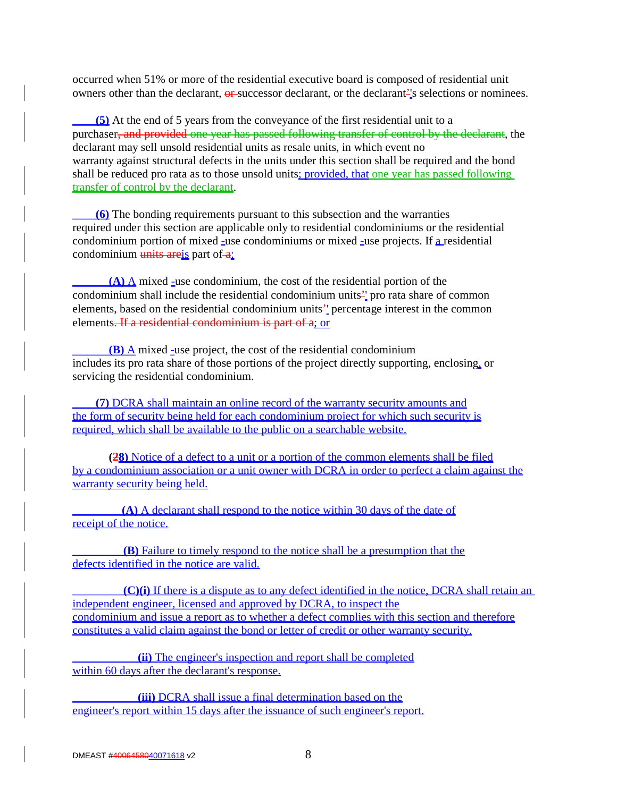occurred when 51% or more of the residential executive board is composed of residential unit owners other than the declarant, or successor declarant, or the declarant<sup>2</sup>'s selections or nominees.

**(5)** At the end of 5 years from the conveyance of the first residential unit to a purchaser, and provided one year has passed following transfer of control by the declarant, the declarant may sell unsold residential units as resale units, in which event no warranty against structural defects in the units under this section shall be required and the bond shall be reduced pro rata as to those unsold units; provided, that one year has passed following transfer of control by the declarant.

**(6)** The bonding requirements pursuant to this subsection and the warranties required under this section are applicable only to residential condominiums or the residential condominium portion of mixed  $\overline{z}$  use condominiums or mixed  $\overline{z}$  use projects. If a residential condominium  $\frac{units}{units}$  part of  $\frac{a}{6}$ 

**(A) A** mixed -use condominium, the cost of the residential portion of the condominium shall include the residential condominium units'' pro rata share of common elements, based on the residential condominium units'' percentage interest in the common elements. If a residential condominium is part of a; or

**(B)** A mixed -use project, the cost of the residential condominium includes its pro rata share of those portions of the project directly supporting, enclosing, or servicing the residential condominium.

**(7)** DCRA shall maintain an online record of the warranty security amounts and the form of security being held for each condominium project for which such security is required, which shall be available to the public on a searchable website.

**(28)** Notice of a defect to a unit or a portion of the common elements shall be filed by a condominium association or a unit owner with DCRA in order to perfect a claim against the warranty security being held.

**(A)** A declarant shall respond to the notice within 30 days of the date of receipt of the notice.

 **(B)** Failure to timely respond to the notice shall be a presumption that the defects identified in the notice are valid.

 **(C)(i)** If there is a dispute as to any defect identified in the notice, DCRA shall retain an independent engineer, licensed and approved by DCRA, to inspect the condominium and issue a report as to whether a defect complies with this section and therefore constitutes a valid claim against the bond or letter of credit or other warranty security.

**(ii)** The engineer's inspection and report shall be completed within 60 days after the declarant's response.

**(iii)** DCRA shall issue a final determination based on the engineer's report within 15 days after the issuance of such engineer's report.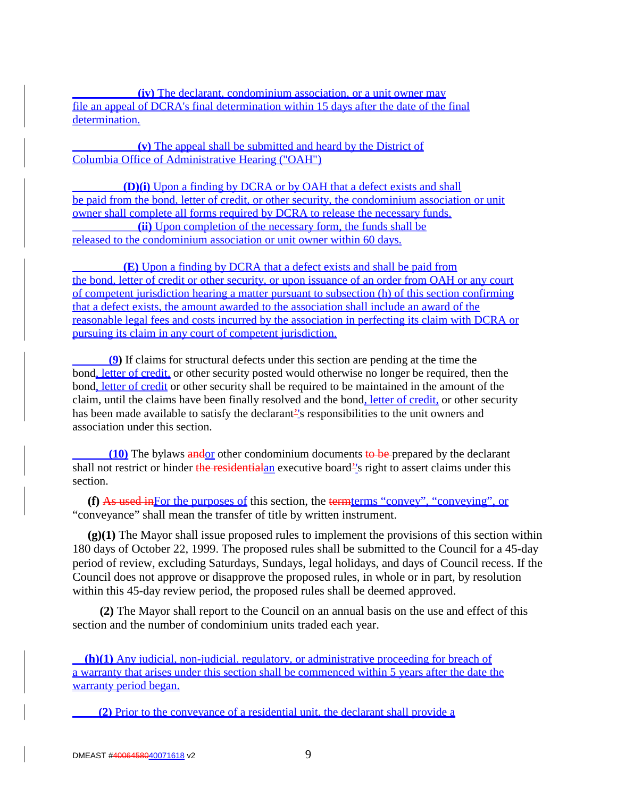**(iv)** The declarant, condominium association, or a unit owner may file an appeal of DCRA's final determination within 15 days after the date of the final determination.

**(v)** The appeal shall be submitted and heard by the District of Columbia Office of Administrative Hearing ("OAH")

 **(D)(i)** Upon a finding by DCRA or by OAH that a defect exists and shall be paid from the bond, letter of credit, or other security, the condominium association or unit owner shall complete all forms required by DCRA to release the necessary funds. **(ii)** Upon completion of the necessary form, the funds shall be released to the condominium association or unit owner within 60 days.

 **(E)** Upon a finding by DCRA that a defect exists and shall be paid from the bond, letter of credit or other security, or upon issuance of an order from OAH or any court of competent jurisdiction hearing a matter pursuant to subsection (h) of this section confirming that a defect exists, the amount awarded to the association shall include an award of the reasonable legal fees and costs incurred by the association in perfecting its claim with DCRA or pursuing its claim in any court of competent jurisdiction.

**(9)** If claims for structural defects under this section are pending at the time the bond, letter of credit, or other security posted would otherwise no longer be required, then the bond, letter of credit or other security shall be required to be maintained in the amount of the claim, until the claims have been finally resolved and the bond, letter of credit, or other security has been made available to satisfy the declarant<sup>2</sup>'s responsibilities to the unit owners and association under this section.

**(10)** The bylaws andor other condominium documents to be prepared by the declarant shall not restrict or hinder the residential and executive board<sup>21</sup> sright to assert claims under this section.

**(f)** As used inFor the purposes of this section, the termterms "convey", "conveying", or "conveyance" shall mean the transfer of title by written instrument.

**(g)(1)** The Mayor shall issue proposed rules to implement the provisions of this section within 180 days of October 22, 1999. The proposed rules shall be submitted to the Council for a 45-day period of review, excluding Saturdays, Sundays, legal holidays, and days of Council recess. If the Council does not approve or disapprove the proposed rules, in whole or in part, by resolution within this 45-day review period, the proposed rules shall be deemed approved.

 **(2)** The Mayor shall report to the Council on an annual basis on the use and effect of this section and the number of condominium units traded each year.

**(h)(1)** Any judicial, non-judicial. regulatory, or administrative proceeding for breach of a warranty that arises under this section shall be commenced within 5 years after the date the warranty period began.

**(2)** Prior to the conveyance of a residential unit, the declarant shall provide a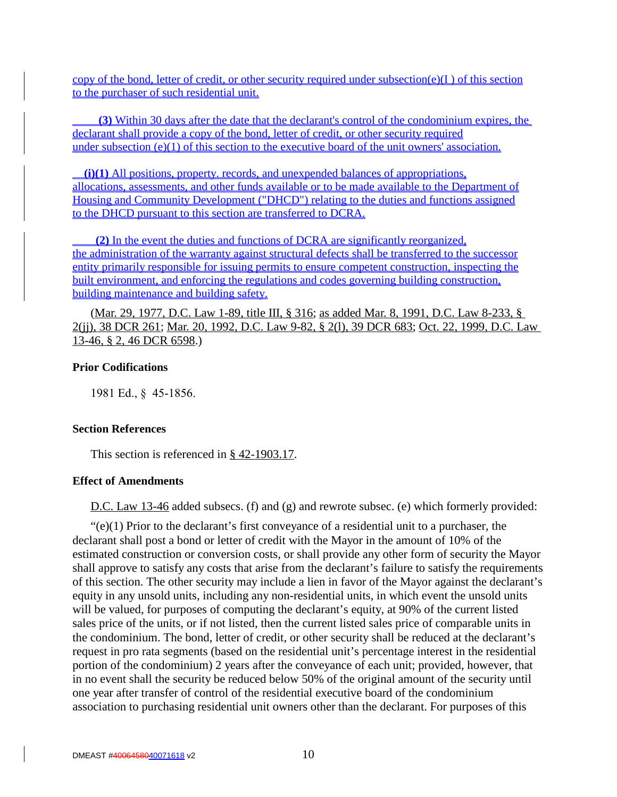copy of the bond, letter of credit, or other security required under subsection(e)(I) of this section to the purchaser of such residential unit.

**(3)** Within 30 days after the date that the declarant's control of the condominium expires, the declarant shall provide a copy of the bond, letter of credit, or other security required under subsection (e)(1) of this section to the executive board of the unit owners' association.

**(i)(1)** All positions, property. records, and unexpended balances of appropriations, allocations, assessments, and other funds available or to be made available to the Department of Housing and Community Development ("DHCD") relating to the duties and functions assigned to the DHCD pursuant to this section are transferred to DCRA.

**(2)** In the event the duties and functions of DCRA are significantly reorganized, the administration of the warranty against structural defects shall be transferred to the successor entity primarily responsible for issuing permits to ensure competent construction, inspecting the built environment, and enforcing the regulations and codes governing building construction, building maintenance and building safety.

(Mar. 29, 1977, D.C. Law 1-89, title III, § 316; as added Mar. 8, 1991, D.C. Law 8-233, § 2(jj), 38 DCR 261; Mar. 20, 1992, D.C. Law 9-82, § 2(l), 39 DCR 683; Oct. 22, 1999, D.C. Law 13-46, § 2, 46 DCR 6598.)

# **Prior Codifications**

1981 Ed., § 45-1856.

# **Section References**

This section is referenced in § 42-1903.17.

# **Effect of Amendments**

D.C. Law 13-46 added subsecs. (f) and (g) and rewrote subsec. (e) which formerly provided:

 $\mathcal{L}(e)(1)$  Prior to the declarant's first conveyance of a residential unit to a purchaser, the declarant shall post a bond or letter of credit with the Mayor in the amount of 10% of the estimated construction or conversion costs, or shall provide any other form of security the Mayor shall approve to satisfy any costs that arise from the declarant's failure to satisfy the requirements of this section. The other security may include a lien in favor of the Mayor against the declarant's equity in any unsold units, including any non-residential units, in which event the unsold units will be valued, for purposes of computing the declarant's equity, at 90% of the current listed sales price of the units, or if not listed, then the current listed sales price of comparable units in the condominium. The bond, letter of credit, or other security shall be reduced at the declarant's request in pro rata segments (based on the residential unit's percentage interest in the residential portion of the condominium) 2 years after the conveyance of each unit; provided, however, that in no event shall the security be reduced below 50% of the original amount of the security until one year after transfer of control of the residential executive board of the condominium association to purchasing residential unit owners other than the declarant. For purposes of this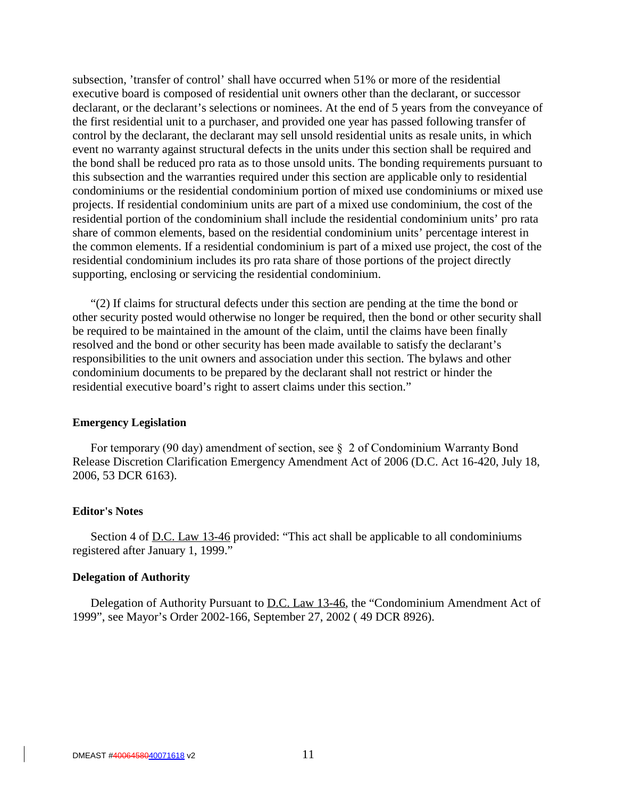subsection, 'transfer of control' shall have occurred when 51% or more of the residential executive board is composed of residential unit owners other than the declarant, or successor declarant, or the declarant's selections or nominees. At the end of 5 years from the conveyance of the first residential unit to a purchaser, and provided one year has passed following transfer of control by the declarant, the declarant may sell unsold residential units as resale units, in which event no warranty against structural defects in the units under this section shall be required and the bond shall be reduced pro rata as to those unsold units. The bonding requirements pursuant to this subsection and the warranties required under this section are applicable only to residential condominiums or the residential condominium portion of mixed use condominiums or mixed use projects. If residential condominium units are part of a mixed use condominium, the cost of the residential portion of the condominium shall include the residential condominium units' pro rata share of common elements, based on the residential condominium units' percentage interest in the common elements. If a residential condominium is part of a mixed use project, the cost of the residential condominium includes its pro rata share of those portions of the project directly supporting, enclosing or servicing the residential condominium.

"(2) If claims for structural defects under this section are pending at the time the bond or other security posted would otherwise no longer be required, then the bond or other security shall be required to be maintained in the amount of the claim, until the claims have been finally resolved and the bond or other security has been made available to satisfy the declarant's responsibilities to the unit owners and association under this section. The bylaws and other condominium documents to be prepared by the declarant shall not restrict or hinder the residential executive board's right to assert claims under this section."

#### **Emergency Legislation**

For temporary (90 day) amendment of section, see § 2 of Condominium Warranty Bond Release Discretion Clarification Emergency Amendment Act of 2006 (D.C. Act 16-420, July 18, 2006, 53 DCR 6163).

#### **Editor's Notes**

Section 4 of <u>D.C. Law 13-46</u> provided: "This act shall be applicable to all condominiums registered after January 1, 1999."

#### **Delegation of Authority**

Delegation of Authority Pursuant to <u>D.C. Law 13-46</u>, the "Condominium Amendment Act of 1999", see Mayor's Order 2002-166, September 27, 2002 ( 49 DCR 8926).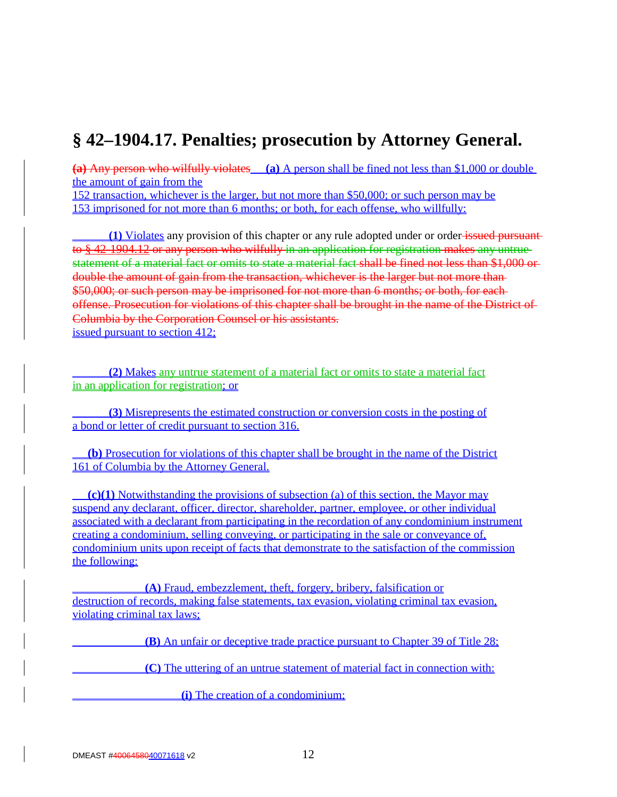# **§ 42–1904.17. Penalties; prosecution by Attorney General.**

**(a)** Any person who wilfully violates **(a)** A person shall be fined not less than \$1,000 or double the amount of gain from the

152 transaction, whichever is the larger, but not more than \$50,000; or such person may be 153 imprisoned for not more than 6 months; or both, for each offense, who willfully:

**(1)** Violates any provision of this chapter or any rule adopted under or order issued pursuant to § 42-1904.12 or any person who wilfully in an application for registration makes any untrue statement of a material fact or omits to state a material fact shall be fined not less than \$1,000 or double the amount of gain from the transaction, whichever is the larger but not more than \$50,000; or such person may be imprisoned for not more than 6 months; or both, for eachoffense. Prosecution for violations of this chapter shall be brought in the name of the District of Columbia by the Corporation Counsel or his assistants. issued pursuant to section 412;

**(2)** Makes any untrue statement of a material fact or omits to state a material fact in an application for registration; or

**(3)** Misrepresents the estimated construction or conversion costs in the posting of a bond or letter of credit pursuant to section 316.

 **(b)** Prosecution for violations of this chapter shall be brought in the name of the District 161 of Columbia by the Attorney General.

**(c)(1)** Notwithstanding the provisions of subsection (a) of this section, the Mayor may suspend any declarant, officer, director, shareholder, partner, employee, or other individual associated with a declarant from participating in the recordation of any condominium instrument creating a condominium, selling conveying, or participating in the sale or conveyance of, condominium units upon receipt of facts that demonstrate to the satisfaction of the commission the following:

**(A)** Fraud, embezzlement, theft, forgery, bribery, falsification or destruction of records, making false statements, tax evasion, violating criminal tax evasion, violating criminal tax laws;

**(B)** An unfair or deceptive trade practice pursuant to Chapter 39 of Title 28;

**(C)** The uttering of an untrue statement of material fact in connection with:

**(i)** The creation of a condominium;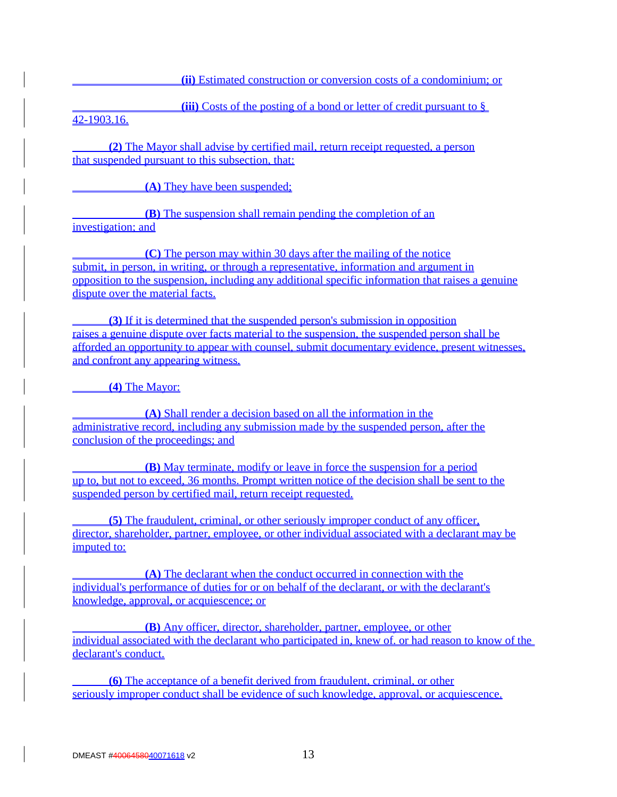**(ii)** Estimated construction or conversion costs of a condominium; or

**(iii)** Costs of the posting of a bond or letter of credit pursuant to §

42-1903.16.

**(2)** The Mayor shall advise by certified mail, return receipt requested, a person that suspended pursuant to this subsection, that:

**(A)** They have been suspended;

**(B)** The suspension shall remain pending the completion of an investigation; and

**(C)** The person may within 30 days after the mailing of the notice submit, in person, in writing, or through a representative, information and argument in opposition to the suspension, including any additional specific information that raises a genuine dispute over the material facts.

**(3)** If it is determined that the suspended person's submission in opposition raises a genuine dispute over facts material to the suspension, the suspended person shall be afforded an opportunity to appear with counsel, submit documentary evidence, present witnesses, and confront any appearing witness.

**(4)** The Mayor:

**(A)** Shall render a decision based on all the information in the administrative record, including any submission made by the suspended person, after the conclusion of the proceedings; and

**(B)** May terminate, modify or leave in force the suspension for a period up to, but not to exceed, 36 months. Prompt written notice of the decision shall be sent to the suspended person by certified mail, return receipt requested.

**(5)** The fraudulent, criminal, or other seriously improper conduct of any officer, director, shareholder, partner, employee, or other individual associated with a declarant may be imputed to:

**(A)** The declarant when the conduct occurred in connection with the individual's performance of duties for or on behalf of the declarant, or with the declarant's knowledge, approval, or acquiescence; or

**(B)** Any officer, director, shareholder, partner, employee, or other individual associated with the declarant who participated in, knew of. or had reason to know of the declarant's conduct.

**(6)** The acceptance of a benefit derived from fraudulent, criminal, or other seriously improper conduct shall be evidence of such knowledge, approval, or acquiescence.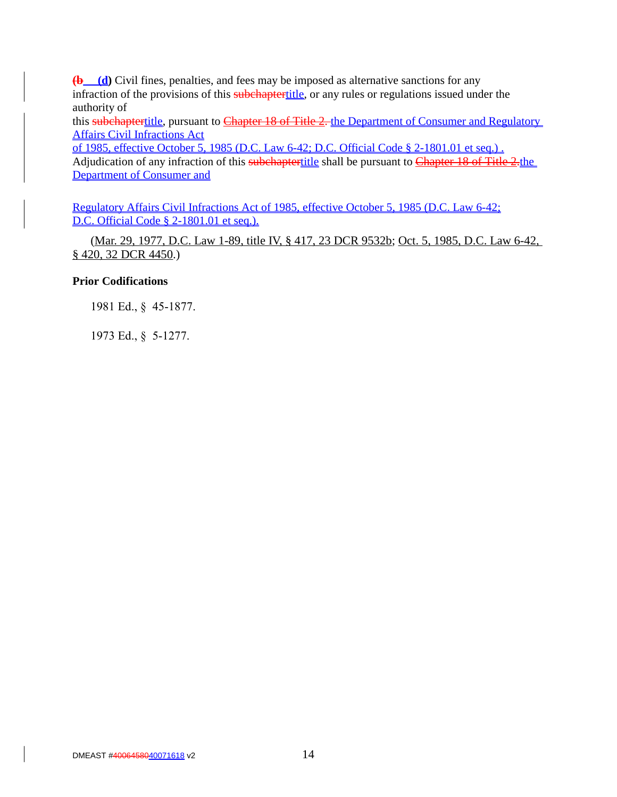**(b (d)** Civil fines, penalties, and fees may be imposed as alternative sanctions for any infraction of the provisions of this subchaptertitle, or any rules or regulations issued under the authority of

this subchaptertitle, pursuant to Chapter 18 of Title 2. the Department of Consumer and Regulatory Affairs Civil Infractions Act

of 1985, effective October 5, 1985 (D.C. Law 6-42; D.C. Official Code § 2-1801.01 et seq.) . Adjudication of any infraction of this subchaptertitle shall be pursuant to Chapter 18 of Title 2.the Department of Consumer and

Regulatory Affairs Civil Infractions Act of 1985, effective October 5, 1985 (D.C. Law 6-42; D.C. Official Code § 2-1801.01 et seq.).

(Mar. 29, 1977, D.C. Law 1-89, title IV, § 417, 23 DCR 9532b; Oct. 5, 1985, D.C. Law 6-42, § 420, 32 DCR 4450.)

# **Prior Codifications**

1981 Ed., § 45-1877.

1973 Ed., § 5-1277.